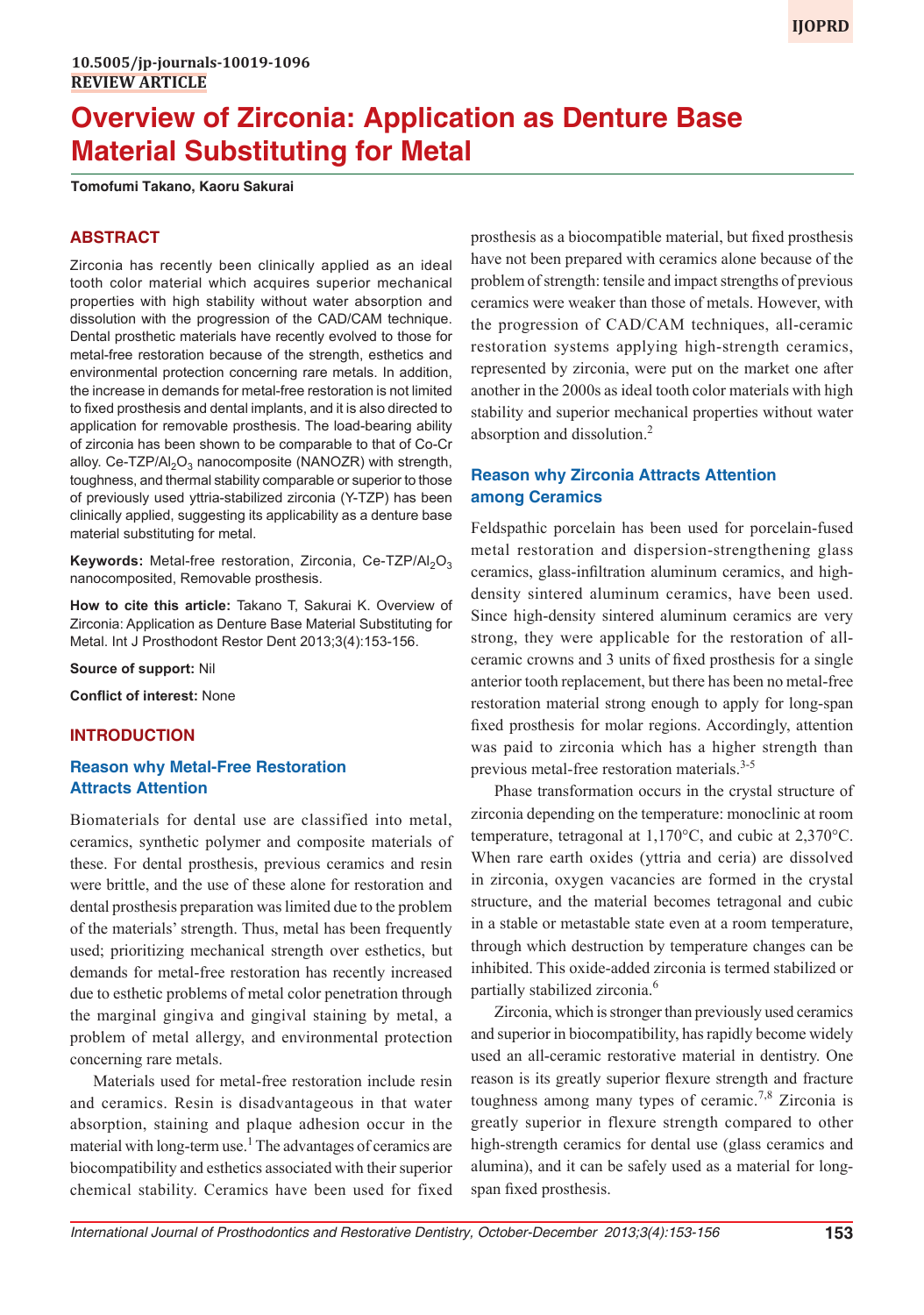# **Overview of Zirconia: Application as Denture Base Material Substituting for Metal**

**Tomofumi Takano, Kaoru Sakurai**

#### **ABSTRACT**

Zirconia has recently been clinically applied as an ideal tooth color material which acquires superior mechanical properties with high stability without water absorption and dissolution with the progression of the CAD/CAM technique. Dental prosthetic materials have recently evolved to those for metal-free restoration because of the strength, esthetics and environmental protection concerning rare metals. In addition, the increase in demands for metal-free restoration is not limited to fixed prosthesis and dental implants, and it is also directed to application for removable prosthesis. The load-bearing ability of zirconia has been shown to be comparable to that of Co-Cr alloy. Ce-TZP/Al<sub>2</sub>O<sub>3</sub> nanocomposite (NANOZR) with strength, toughness, and thermal stability comparable or superior to those of previously used yttria-stabilized zirconia (Y-TZP) has been clinically applied, suggesting its applicability as a denture base material substituting for metal.

**Keywords:** Metal-free restoration, Zirconia, Ce-TZP/Al<sub>2</sub>O<sub>3</sub> nanocomposited, Removable prosthesis.

**How to cite this article:** Takano T, Sakurai K. Overview of Zirconia: Application as Denture Base Material Substituting for Metal. Int J Prosthodont Restor Dent 2013;3(4):153-156.

**Source of support:** Nil

**Conflict of interest:** None

#### **INTRODUCTION**

#### **Reason why Metal-Free Restoration Attracts Attention**

Biomaterials for dental use are classified into metal, ceramics, synthetic polymer and composite materials of these. For dental prosthesis, previous ceramics and resin were brittle, and the use of these alone for restoration and dental prosthesis preparation was limited due to the problem of the materials' strength. Thus, metal has been frequently used; prioritizing mechanical strength over esthetics, but demands for metal-free restoration has recently increased due to esthetic problems of metal color penetration through the marginal gingiva and gingival staining by metal, a problem of metal allergy, and environmental protection concerning rare metals.

Materials used for metal-free restoration include resin and ceramics. Resin is disadvantageous in that water absorption, staining and plaque adhesion occur in the material with long-term use.<sup>1</sup> The advantages of ceramics are biocompatibility and esthetics associated with their superior chemical stability. Ceramics have been used for fixed

prosthesis as a biocompatible material, but fixed prosthesis have not been prepared with ceramics alone because of the problem of strength: tensile and impact strengths of previous ceramics were weaker than those of metals. However, with the progression of CAD/CAM techniques, all-ceramic restoration systems applying high-strength ceramics, represented by zirconia, were put on the market one after another in the 2000s as ideal tooth color materials with high stability and superior mechanical properties without water absorption and dissolution.2

## **Reason why Zirconia Attracts Attention among Ceramics**

Feldspathic porcelain has been used for porcelain-fused metal restoration and dispersion-strengthening glass ceramics, glass-infiltration aluminum ceramics, and highdensity sintered aluminum ceramics, have been used. Since high-density sintered aluminum ceramics are very strong, they were applicable for the restoration of allceramic crowns and 3 units of fixed prosthesis for a single anterior tooth replacement, but there has been no metal-free restoration material strong enough to apply for long-span fixed prosthesis for molar regions. Accordingly, attention was paid to zirconia which has a higher strength than previous metal-free restoration materials.<sup>3-5</sup>

Phase transformation occurs in the crystal structure of zirconia depending on the temperature: monoclinic at room temperature, tetragonal at 1,170°C, and cubic at 2,370°C. When rare earth oxides (yttria and ceria) are dissolved in zirconia, oxygen vacancies are formed in the crystal structure, and the material becomes tetragonal and cubic in a stable or metastable state even at a room temperature, through which destruction by temperature changes can be inhibited. This oxide-added zirconia is termed stabilized or partially stabilized zirconia.<sup>6</sup>

Zirconia, which is stronger than previously used ceramics and superior in biocompatibility, has rapidly become widely used an all-ceramic restorative material in dentistry. One reason is its greatly superior flexure strength and fracture toughness among many types of ceramic.<sup>7,8</sup> Zirconia is greatly superior in flexure strength compared to other high-strength ceramics for dental use (glass ceramics and alumina), and it can be safely used as a material for longspan fixed prosthesis.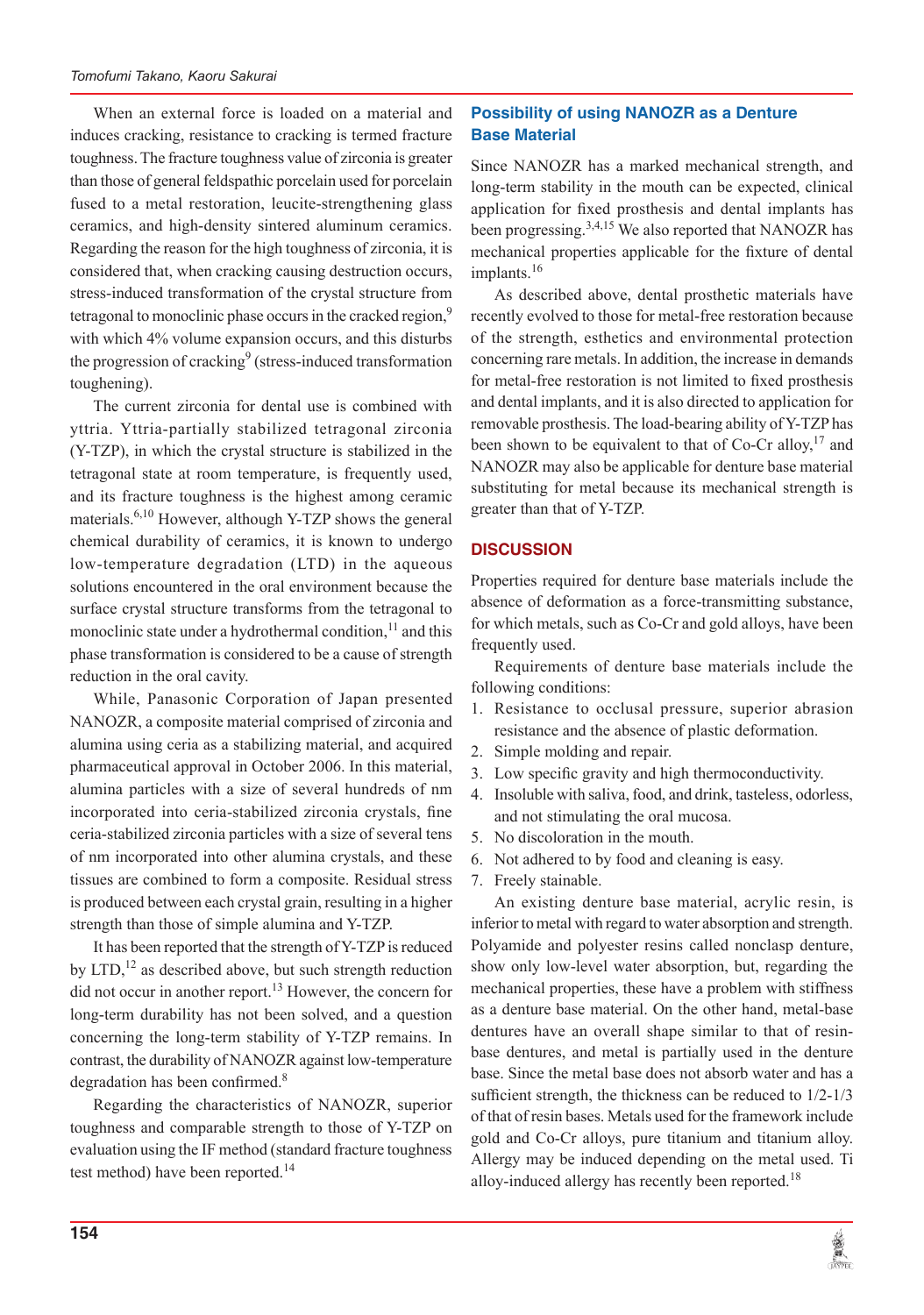When an external force is loaded on a material and induces cracking, resistance to cracking is termed fracture toughness. The fracture toughness value of zirconia is greater than those of general feldspathic porcelain used for porcelain fused to a metal restoration, leucite-strengthening glass ceramics, and high-density sintered aluminum ceramics. Regarding the reason for the high toughness of zirconia, it is considered that, when cracking causing destruction occurs, stress-induced transformation of the crystal structure from tetragonal to monoclinic phase occurs in the cracked region,<sup>9</sup> with which 4% volume expansion occurs, and this disturbs the progression of cracking<sup>9</sup> (stress-induced transformation toughening).

The current zirconia for dental use is combined with yttria. Yttria-partially stabilized tetragonal zirconia (Y-TZP), in which the crystal structure is stabilized in the tetragonal state at room temperature, is frequently used, and its fracture toughness is the highest among ceramic materials.<sup>6,10</sup> However, although Y-TZP shows the general chemical durability of ceramics, it is known to undergo low-temperature degradation (LTD) in the aqueous solutions encountered in the oral environment because the surface crystal structure transforms from the tetragonal to monoclinic state under a hydrothermal condition, $11$  and this phase transformation is considered to be a cause of strength reduction in the oral cavity.

While, Panasonic Corporation of Japan presented NANOZR, a composite material comprised of zirconia and alumina using ceria as a stabilizing material, and acquired pharmaceutical approval in October 2006. In this material, alumina particles with a size of several hundreds of nm incorporated into ceria-stabilized zirconia crystals, fine ceria-stabilized zirconia particles with a size of several tens of nm incorporated into other alumina crystals, and these tissues are combined to form a composite. Residual stress is produced between each crystal grain, resulting in a higher strength than those of simple alumina and Y-TZP.

It has been reported that the strength of Y-TZP is reduced by  $LTD<sub>12</sub>$  as described above, but such strength reduction did not occur in another report.<sup>13</sup> However, the concern for long-term durability has not been solved, and a question concerning the long-term stability of Y-TZP remains. In contrast, the durability of NANOZR against low-temperature degradation has been confirmed. $8$ 

Regarding the characteristics of NANOZR, superior toughness and comparable strength to those of Y-TZP on evaluation using the IF method (standard fracture toughness test method) have been reported.<sup>14</sup>

# **Possibility of using NANOZR as a Denture Base Material**

Since NANOZR has a marked mechanical strength, and long-term stability in the mouth can be expected, clinical application for fixed prosthesis and dental implants has been progressing.3,4,15 We also reported that NANOZR has mechanical properties applicable for the fixture of dental implants.<sup>16</sup>

As described above, dental prosthetic materials have recently evolved to those for metal-free restoration because of the strength, esthetics and environmental protection concerning rare metals. In addition, the increase in demands for metal-free restoration is not limited to fixed prosthesis and dental implants, and it is also directed to application for removable prosthesis. The load-bearing ability of Y-TZP has been shown to be equivalent to that of Co-Cr alloy,  $17$  and NANOZR may also be applicable for denture base material substituting for metal because its mechanical strength is greater than that of Y-TZP.

## **DISCUSSION**

Properties required for denture base materials include the absence of deformation as a force-transmitting substance, for which metals, such as Co-Cr and gold alloys, have been frequently used.

Requirements of denture base materials include the following conditions:

- 1. Resistance to occlusal pressure, superior abrasion resistance and the absence of plastic deformation.
- 2. Simple molding and repair.
- 3. Low specific gravity and high thermoconductivity.
- 4. Insoluble with saliva, food, and drink, tasteless, odorless, and not stimulating the oral mucosa.
- 5. No discoloration in the mouth.
- 6. Not adhered to by food and cleaning is easy.
- 7. Freely stainable.

An existing denture base material, acrylic resin, is inferior to metal with regard to water absorption and strength. Polyamide and polyester resins called nonclasp denture, show only low-level water absorption, but, regarding the mechanical properties, these have a problem with stiffness as a denture base material. On the other hand, metal-base dentures have an overall shape similar to that of resinbase dentures, and metal is partially used in the denture base. Since the metal base does not absorb water and has a sufficient strength, the thickness can be reduced to 1/2-1/3 of that of resin bases. Metals used for the framework include gold and Co-Cr alloys, pure titanium and titanium alloy. Allergy may be induced depending on the metal used. Ti alloy-induced allergy has recently been reported.<sup>18</sup>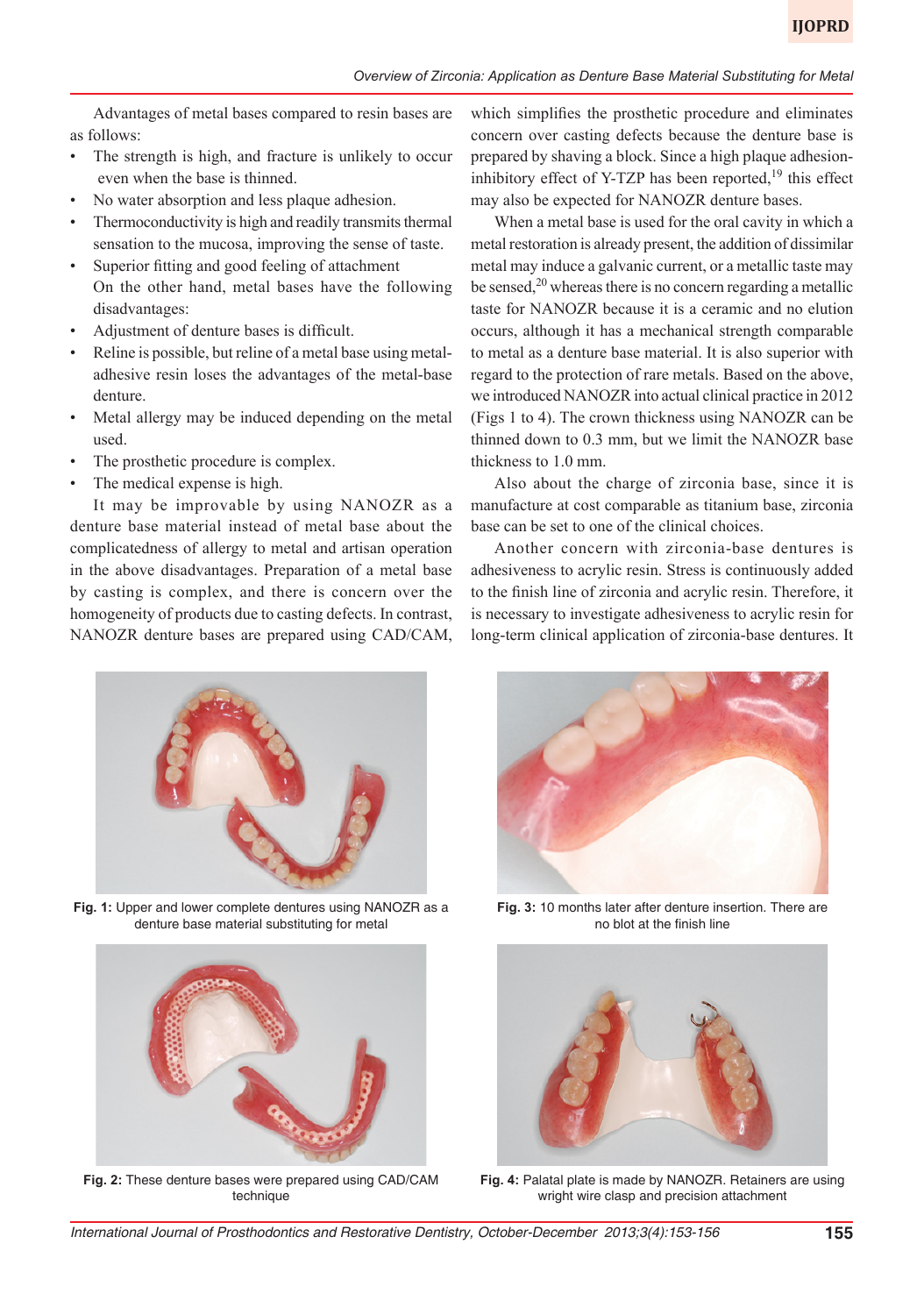Advantages of metal bases compared to resin bases are as follows:

- The strength is high, and fracture is unlikely to occur even when the base is thinned.
- No water absorption and less plaque adhesion.
- Thermoconductivity is high and readily transmits thermal sensation to the mucosa, improving the sense of taste.
- Superior fitting and good feeling of attachment On the other hand, metal bases have the following disadvantages:
- Adjustment of denture bases is difficult.
- Reline is possible, but reline of a metal base using metaladhesive resin loses the advantages of the metal-base denture.
- Metal allergy may be induced depending on the metal used.
- The prosthetic procedure is complex.
- The medical expense is high.

It may be improvable by using NANOZR as a denture base material instead of metal base about the complicatedness of allergy to metal and artisan operation in the above disadvantages. Preparation of a metal base by casting is complex, and there is concern over the homogeneity of products due to casting defects. In contrast, NANOZR denture bases are prepared using CAD/CAM, which simplifies the prosthetic procedure and eliminates concern over casting defects because the denture base is prepared by shaving a block. Since a high plaque adhesioninhibitory effect of Y-TZP has been reported, $19$  this effect may also be expected for NANOZR denture bases.

When a metal base is used for the oral cavity in which a metal restoration is already present, the addition of dissimilar metal may induce a galvanic current, or a metallic taste may be sensed,  $2<sup>0</sup>$  whereas there is no concern regarding a metallic taste for NANOZR because it is a ceramic and no elution occurs, although it has a mechanical strength comparable to metal as a denture base material. It is also superior with regard to the protection of rare metals. Based on the above, we introduced NANOZR into actual clinical practice in 2012 (Figs 1 to 4). The crown thickness using NANOZR can be thinned down to 0.3 mm, but we limit the NANOZR base thickness to 1.0 mm.

Also about the charge of zirconia base, since it is manufacture at cost comparable as titanium base, zirconia base can be set to one of the clinical choices.

Another concern with zirconia-base dentures is adhesiveness to acrylic resin. Stress is continuously added to the finish line of zirconia and acrylic resin. Therefore, it is necessary to investigate adhesiveness to acrylic resin for long-term clinical application of zirconia-base dentures. It



**Fig. 1:** Upper and lower complete dentures using NANOZR as a denture base material substituting for metal



**Fig. 2:** These denture bases were prepared using CAD/CAM technique



**Fig. 3:** 10 months later after denture insertion. There are no blot at the finish line



**Fig. 4:** Palatal plate is made by NANOZR. Retainers are using wright wire clasp and precision attachment